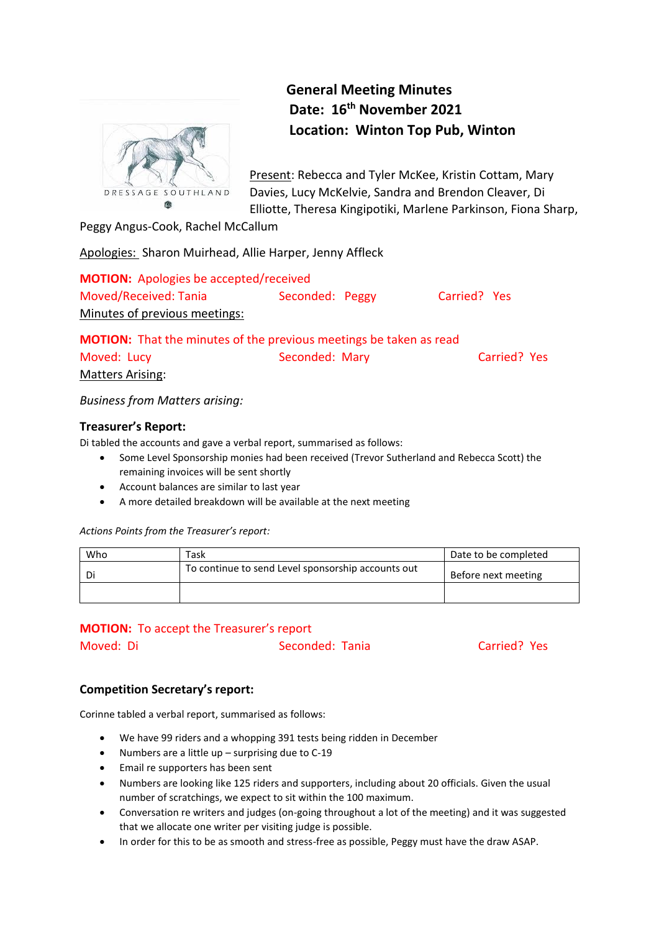

**General Meeting Minutes Date: 16th November 2021 Location: Winton Top Pub, Winton**

Present: Rebecca and Tyler McKee, Kristin Cottam, Mary Davies, Lucy McKelvie, Sandra and Brendon Cleaver, Di Elliotte, Theresa Kingipotiki, Marlene Parkinson, Fiona Sharp,

Peggy Angus-Cook, Rachel McCallum

Apologies: Sharon Muirhead, Allie Harper, Jenny Affleck

**MOTION:** Apologies be accepted/received Moved/Received: Tania Seconded: Peggy Carried? Yes Minutes of previous meetings:

**MOTION:** That the minutes of the previous meetings be taken as read Moved: Lucy **Seconded: Mary Carried? Yes** Matters Arising:

*Business from Matters arising:* 

# **Treasurer's Report:**

Di tabled the accounts and gave a verbal report, summarised as follows:

- Some Level Sponsorship monies had been received (Trevor Sutherland and Rebecca Scott) the remaining invoices will be sent shortly
- Account balances are similar to last year
- A more detailed breakdown will be available at the next meeting

*Actions Points from the Treasurer's report:*

| Who | Task                                               | Date to be completed |
|-----|----------------------------------------------------|----------------------|
| Di  | To continue to send Level sponsorship accounts out | Before next meeting  |
|     |                                                    |                      |

# **MOTION:** To accept the Treasurer's report

Moved: Di Seconded: Tania Carried? Yes

# **Competition Secretary's report:**

Corinne tabled a verbal report, summarised as follows:

- We have 99 riders and a whopping 391 tests being ridden in December
- Numbers are a little up surprising due to C-19
- Email re supporters has been sent
- Numbers are looking like 125 riders and supporters, including about 20 officials. Given the usual number of scratchings, we expect to sit within the 100 maximum.
- Conversation re writers and judges (on-going throughout a lot of the meeting) and it was suggested that we allocate one writer per visiting judge is possible.
- In order for this to be as smooth and stress-free as possible, Peggy must have the draw ASAP.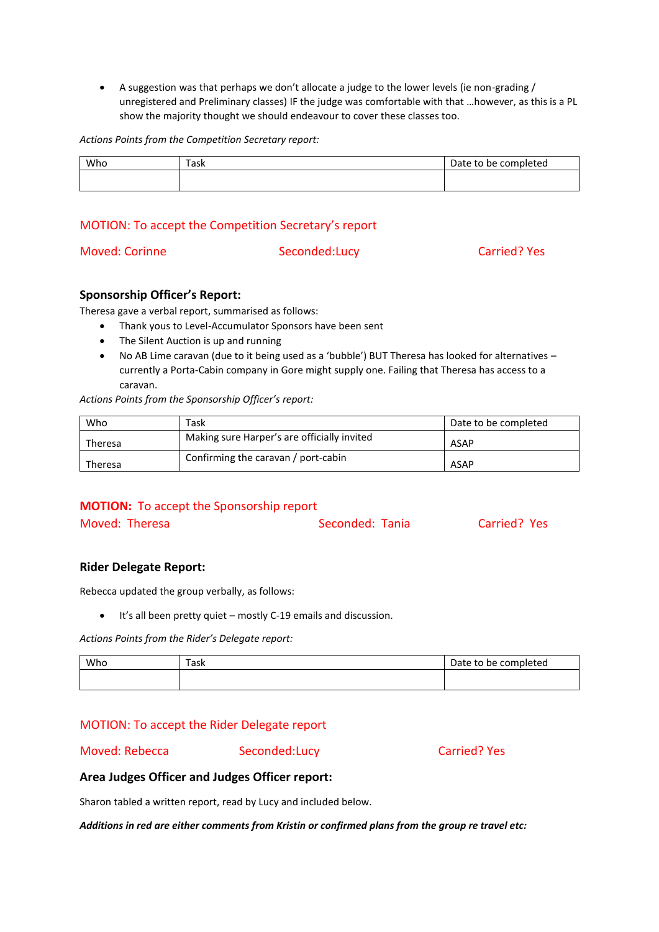A suggestion was that perhaps we don't allocate a judge to the lower levels (ie non-grading / unregistered and Preliminary classes) IF the judge was comfortable with that …however, as this is a PL show the majority thought we should endeavour to cover these classes too.

*Actions Points from the Competition Secretary report:*

| Who | را ہ د<br>dSK | Date to be completed |
|-----|---------------|----------------------|
|     |               |                      |

# MOTION: To accept the Competition Secretary's report

Moved: Corinne Seconded:Lucy Carried? Yes

## **Sponsorship Officer's Report:**

Theresa gave a verbal report, summarised as follows:

- Thank yous to Level-Accumulator Sponsors have been sent
- The Silent Auction is up and running
- No AB Lime caravan (due to it being used as a 'bubble') BUT Theresa has looked for alternatives currently a Porta-Cabin company in Gore might supply one. Failing that Theresa has access to a caravan.

*Actions Points from the Sponsorship Officer's report:*

| Who     | Task                                        | Date to be completed |
|---------|---------------------------------------------|----------------------|
| Theresa | Making sure Harper's are officially invited | ASAP                 |
| Theresa | Confirming the caravan / port-cabin         | ASAP                 |

## **MOTION:** To accept the Sponsorship report

| Moved: Theresa | Seconded: Tania | Carried? Yes |
|----------------|-----------------|--------------|
|                |                 |              |

## **Rider Delegate Report:**

Rebecca updated the group verbally, as follows:

It's all been pretty quiet – mostly C-19 emails and discussion.

*Actions Points from the Rider's Delegate report:*

| Who | $\overline{\phantom{0}}$<br>باعد<br>l dSK | Date to be completed |
|-----|-------------------------------------------|----------------------|
|     |                                           |                      |

# MOTION: To accept the Rider Delegate report

Moved: Rebecca Seconded:Lucy Carried? Yes

## **Area Judges Officer and Judges Officer report:**

Sharon tabled a written report, read by Lucy and included below.

*Additions in red are either comments from Kristin or confirmed plans from the group re travel etc:*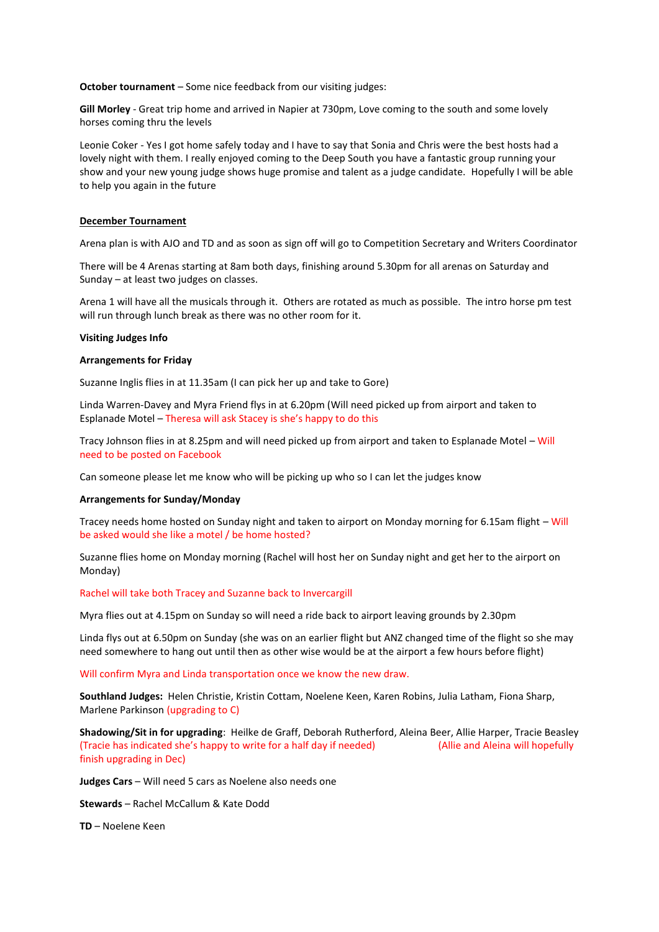**October tournament** – Some nice feedback from our visiting judges:

**Gill Morley** - Great trip home and arrived in Napier at 730pm, Love coming to the south and some lovely horses coming thru the levels

Leonie Coker - Yes I got home safely today and I have to say that Sonia and Chris were the best hosts had a lovely night with them. I really enjoyed coming to the Deep South you have a fantastic group running your show and your new young judge shows huge promise and talent as a judge candidate. Hopefully I will be able to help you again in the future

### **December Tournament**

Arena plan is with AJO and TD and as soon as sign off will go to Competition Secretary and Writers Coordinator

There will be 4 Arenas starting at 8am both days, finishing around 5.30pm for all arenas on Saturday and Sunday – at least two judges on classes.

Arena 1 will have all the musicals through it. Others are rotated as much as possible. The intro horse pm test will run through lunch break as there was no other room for it.

#### **Visiting Judges Info**

### **Arrangements for Friday**

Suzanne Inglis flies in at 11.35am (I can pick her up and take to Gore)

Linda Warren-Davey and Myra Friend flys in at 6.20pm (Will need picked up from airport and taken to Esplanade Motel – Theresa will ask Stacey is she's happy to do this

Tracy Johnson flies in at 8.25pm and will need picked up from airport and taken to Esplanade Motel – Will need to be posted on Facebook

Can someone please let me know who will be picking up who so I can let the judges know

#### **Arrangements for Sunday/Monday**

Tracey needs home hosted on Sunday night and taken to airport on Monday morning for 6.15am flight – Will be asked would she like a motel / be home hosted?

Suzanne flies home on Monday morning (Rachel will host her on Sunday night and get her to the airport on Monday)

#### Rachel will take both Tracey and Suzanne back to Invercargill

Myra flies out at 4.15pm on Sunday so will need a ride back to airport leaving grounds by 2.30pm

Linda flys out at 6.50pm on Sunday (she was on an earlier flight but ANZ changed time of the flight so she may need somewhere to hang out until then as other wise would be at the airport a few hours before flight)

Will confirm Myra and Linda transportation once we know the new draw.

**Southland Judges:** Helen Christie, Kristin Cottam, Noelene Keen, Karen Robins, Julia Latham, Fiona Sharp, Marlene Parkinson (upgrading to C)

**Shadowing/Sit in for upgrading**: Heilke de Graff, Deborah Rutherford, Aleina Beer, Allie Harper, Tracie Beasley (Tracie has indicated she's happy to write for a half day if needed) (Allie and Aleina will hopefully finish upgrading in Dec)

**Judges Cars** – Will need 5 cars as Noelene also needs one

**Stewards** – Rachel McCallum & Kate Dodd

**TD** – Noelene Keen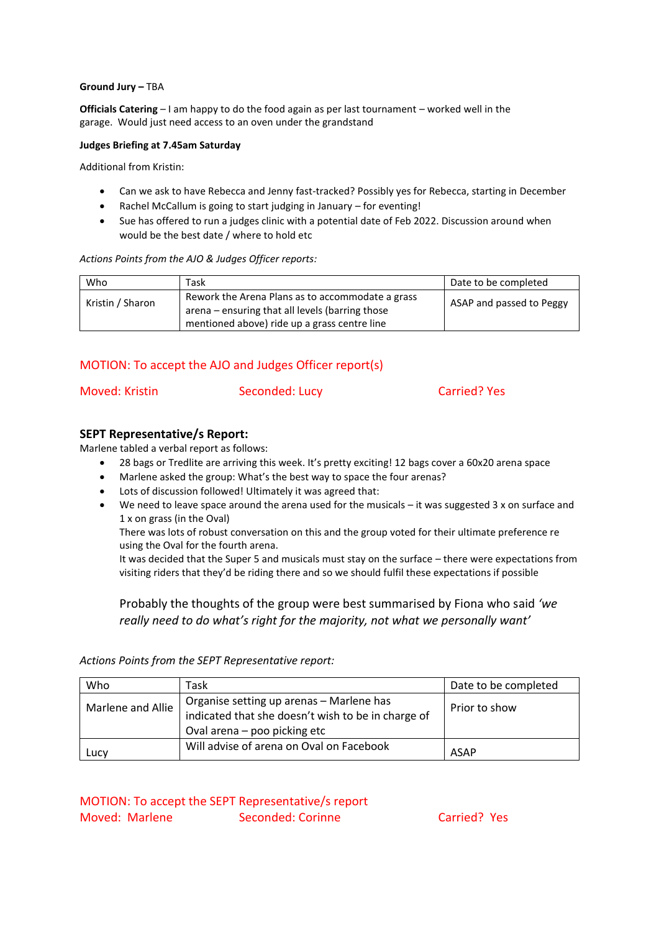### **Ground Jury –** TBA

**Officials Catering** – I am happy to do the food again as per last tournament – worked well in the garage. Would just need access to an oven under the grandstand

### **Judges Briefing at 7.45am Saturday**

Additional from Kristin:

- Can we ask to have Rebecca and Jenny fast-tracked? Possibly yes for Rebecca, starting in December
- Rachel McCallum is going to start judging in January for eventing!
- Sue has offered to run a judges clinic with a potential date of Feb 2022. Discussion around when would be the best date / where to hold etc

### *Actions Points from the AJO & Judges Officer reports:*

| Who              | Task                                                                                                                                                | Date to be completed     |
|------------------|-----------------------------------------------------------------------------------------------------------------------------------------------------|--------------------------|
| Kristin / Sharon | Rework the Arena Plans as to accommodate a grass<br>arena – ensuring that all levels (barring those<br>mentioned above) ride up a grass centre line | ASAP and passed to Peggy |

# MOTION: To accept the AJO and Judges Officer report(s)

| Moved: Kristin | Seconded: Lucy | <b>Carried? Yes</b> |
|----------------|----------------|---------------------|
|                |                |                     |

## **SEPT Representative/s Report:**

Marlene tabled a verbal report as follows:

- 28 bags or Tredlite are arriving this week. It's pretty exciting! 12 bags cover a 60x20 arena space
- Marlene asked the group: What's the best way to space the four arenas?
- Lots of discussion followed! Ultimately it was agreed that:
- We need to leave space around the arena used for the musicals it was suggested 3 x on surface and 1 x on grass (in the Oval)

There was lots of robust conversation on this and the group voted for their ultimate preference re using the Oval for the fourth arena.

It was decided that the Super 5 and musicals must stay on the surface – there were expectations from visiting riders that they'd be riding there and so we should fulfil these expectations if possible

Probably the thoughts of the group were best summarised by Fiona who said *'we really need to do what's right for the majority, not what we personally want'*

*Actions Points from the SEPT Representative report:*

| Who               | Task                                                                                           | Date to be completed |
|-------------------|------------------------------------------------------------------------------------------------|----------------------|
| Marlene and Allie | Organise setting up arenas - Marlene has<br>indicated that she doesn't wish to be in charge of | Prior to show        |
|                   | Oval arena – poo picking etc                                                                   |                      |
| Lucy              | Will advise of arena on Oval on Facebook                                                       | <b>ASAP</b>          |

MOTION: To accept the SEPT Representative/s report Moved: Marlene Seconded: Corinne Carried? Yes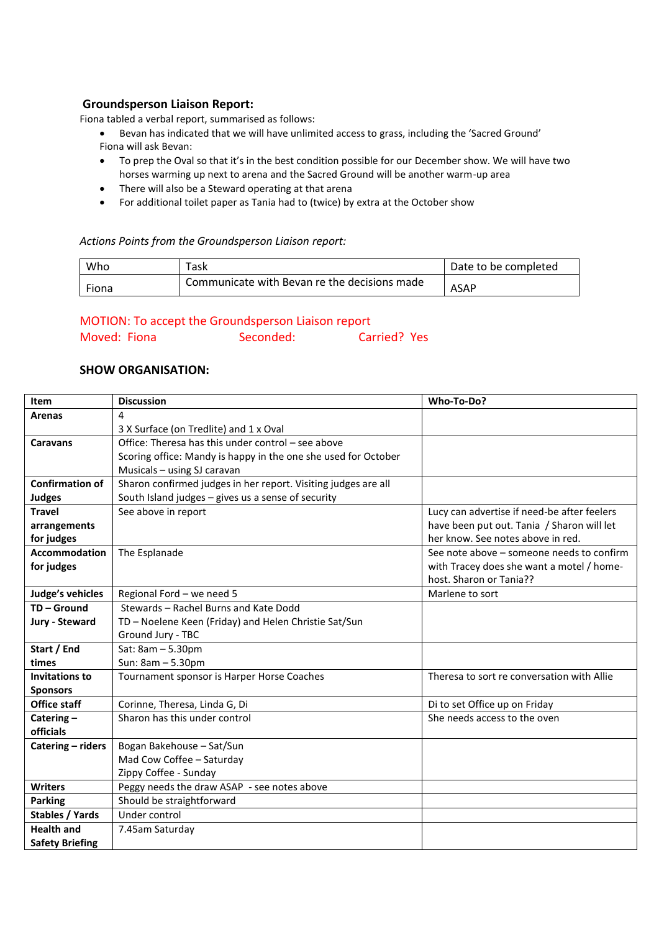# **Groundsperson Liaison Report:**

Fiona tabled a verbal report, summarised as follows:

- Bevan has indicated that we will have unlimited access to grass, including the 'Sacred Ground' Fiona will ask Bevan:
- To prep the Oval so that it's in the best condition possible for our December show. We will have two horses warming up next to arena and the Sacred Ground will be another warm-up area
- There will also be a Steward operating at that arena
- For additional toilet paper as Tania had to (twice) by extra at the October show

### *Actions Points from the Groundsperson Liaison report:*

| Who   | 「ask                                         | Date to be completed |
|-------|----------------------------------------------|----------------------|
| Fiona | Communicate with Bevan re the decisions made | <b>ASAP</b>          |

# MOTION: To accept the Groundsperson Liaison report

| Moved: Fiona | Seconded: | Carried? Yes |  |
|--------------|-----------|--------------|--|
|              |           |              |  |

# **SHOW ORGANISATION:**

| Item                   | <b>Discussion</b>                                              | Who-To-Do?                                  |
|------------------------|----------------------------------------------------------------|---------------------------------------------|
| <b>Arenas</b>          | 4                                                              |                                             |
|                        | 3 X Surface (on Tredlite) and 1 x Oval                         |                                             |
| Caravans               | Office: Theresa has this under control – see above             |                                             |
|                        | Scoring office: Mandy is happy in the one she used for October |                                             |
|                        | Musicals - using SJ caravan                                    |                                             |
| <b>Confirmation of</b> | Sharon confirmed judges in her report. Visiting judges are all |                                             |
| <b>Judges</b>          | South Island judges - gives us a sense of security             |                                             |
| <b>Travel</b>          | See above in report                                            | Lucy can advertise if need-be after feelers |
| arrangements           |                                                                | have been put out. Tania / Sharon will let  |
| for judges             |                                                                | her know. See notes above in red.           |
| <b>Accommodation</b>   | The Esplanade                                                  | See note above – someone needs to confirm   |
| for judges             |                                                                | with Tracey does she want a motel / home-   |
|                        |                                                                | host. Sharon or Tania??                     |
| Judge's vehicles       | Regional Ford - we need 5                                      | Marlene to sort                             |
| TD-Ground              | Stewards - Rachel Burns and Kate Dodd                          |                                             |
| Jury - Steward         | TD - Noelene Keen (Friday) and Helen Christie Sat/Sun          |                                             |
|                        | Ground Jury - TBC                                              |                                             |
| Start / End            | Sat: 8am - 5.30pm                                              |                                             |
| times                  | Sun: 8am - 5.30pm                                              |                                             |
| <b>Invitations to</b>  | Tournament sponsor is Harper Horse Coaches                     | Theresa to sort re conversation with Allie  |
| <b>Sponsors</b>        |                                                                |                                             |
| <b>Office staff</b>    | Corinne, Theresa, Linda G, Di                                  | Di to set Office up on Friday               |
| Catering $-$           | Sharon has this under control                                  | She needs access to the oven                |
| officials              |                                                                |                                             |
| Catering - riders      | Bogan Bakehouse - Sat/Sun                                      |                                             |
|                        | Mad Cow Coffee - Saturday                                      |                                             |
|                        | Zippy Coffee - Sunday                                          |                                             |
| <b>Writers</b>         | Peggy needs the draw ASAP - see notes above                    |                                             |
| <b>Parking</b>         | Should be straightforward                                      |                                             |
| Stables / Yards        | Under control                                                  |                                             |
| <b>Health and</b>      | 7.45am Saturday                                                |                                             |
| <b>Safety Briefing</b> |                                                                |                                             |